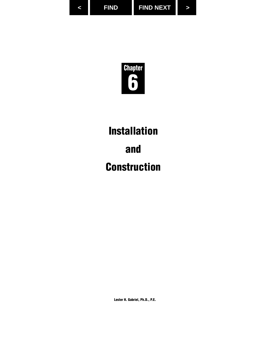

# **Installation and Construction**

**Lester H. Gabriel, Ph.D., P.E.**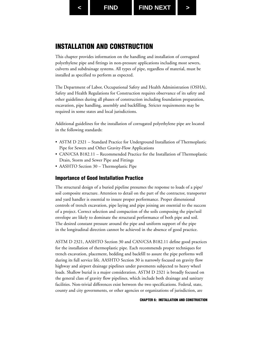## **INSTALLATION AND CONSTRUCTION**

This chapter provides information on the handling and installation of corrugated polyethylene pipe and fittings in non-pressure applications including most sewers, culverts and subdrainage systems. All types of pipe, regardless of material, must be installed as specified to perform as expected.

The Department of Labor, Occupational Safety and Health Administration (OSHA), Safety and Health Regulations for Construction requires observance of its safety and other guidelines during all phases of construction including foundation preparation, excavation, pipe handling, assembly and backfilling. Stricter requirements may be required in some states and local jurisdictions.

Additional guidelines for the installation of corrugated polyethylene pipe are located in the following standards:

- ASTM D 2321 Standard Practice for Underground Installation of Thermoplastic Pipe for Sewers and Other Gravity-Flow Applications
- CAN/CSA B182.11 Recommended Practice for the Installation of Thermoplastic Drain, Storm and Sewer Pipe and Fittings
- AASHTO Section 30 Thermoplastic Pipe

## **Importance of Good Installation Practice**

The structural design of a buried pipeline presumes the response to loads of a pipe/ soil composite structure. Attention to detail on the part of the contractor, transporter and yard handler is essential to insure proper performance. Proper dimensional controls of trench excavation, pipe laying and pipe joining are essential to the success of a project. Correct selection and compaction of the soils composing the pipe/soil envelope are likely to dominate the structural performance of both pipe and soil. The desired constant pressure around the pipe and uniform support of the pipe in the longitudinal direction cannot be achieved in the absence of good practice.

ASTM D 2321, AASHTO Section 30 and CAN/CSA B182.11 define good practices for the installation of thermoplastic pipe. Each recommends proper techniques for trench excavation, placement, bedding and backfill to assure the pipe performs well during its full service life. AASHTO Section 30 is narrowly focused on gravity flow highway and airport drainage pipelines under pavements subjected to heavy wheel loads. Shallow burial is a major consideration. ASTM D 2321 is broadly focused on the general class of gravity flow pipelines, which include both drainage and sanitary facilities. Non-trivial differences exist between the two specifications. Federal, state, county and city governments, or other agencies or organizations of jurisdiction, are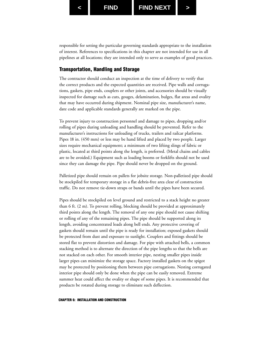responsible for setting the particular governing standards appropriate to the installation of interest. References to specifications in this chapter are not intended for use in all pipelines at all locations; they are intended only to serve as examples of good practices.

## **Transportation, Handling and Storage**

The contractor should conduct an inspection at the time of delivery to verify that the correct products and the expected quantities are received. Pipe walls and corrugations, gaskets, pipe ends, couplers or other joints, and accessories should be visually inspected for damage such as cuts, gouges, delamination, bulges, flat areas and ovality that may have occurred during shipment. Nominal pipe size, manufacturer's name, date code and applicable standards generally are marked on the pipe.

To prevent injury to construction personnel and damage to pipes, dropping and/or rolling of pipes during unloading and handling should be prevented. Refer to the manufacturer's instructions for unloading of trucks, trailers and railcar platforms. Pipes 18 in. (450 mm) or less may be hand lifted and placed by two people. Larger sizes require mechanical equipment; a minimum of two lifting slings of fabric or plastic, located at third points along the length, is preferred. (Metal chains and cables are to be avoided.) Equipment such as loading booms or forklifts should not be used since they can damage the pipe. Pipe should never be dropped on the ground.

Palletized pipe should remain on pallets for jobsite storage. Non-palletized pipe should be stockpiled for temporary storage in a flat debris-free area clear of construction traffic. Do not remove tie-down straps or bands until the pipes have been secured.

Pipes should be stockpiled on level ground and restricted to a stack height no greater than 6 ft. (2 m). To prevent rolling, blocking should be provided at approximately third points along the length. The removal of any one pipe should not cause shifting or rolling of any of the remaining pipes. The pipe should be supported along its length, avoiding concentrated loads along bell ends. Any protective covering of gaskets should remain until the pipe is ready for installation; exposed gaskets should be protected from dust and exposure to sunlight. Couplers and fittings should be stored flat to prevent distortion and damage. For pipe with attached bells, a common stacking method is to alternate the direction of the pipe lengths so that the bells are not stacked on each other. For smooth interior pipe, nesting smaller pipes inside larger pipes can minimize the storage space. Factory installed gaskets on the spigot may be protected by positioning them between pipe corrugations. Nesting corrugated interior pipe should only be done when the pipe can be easily removed. Extreme summer heat could affect the ovality or shape of some pipes. It is recommended that products be rotated during storage to eliminate such deflection.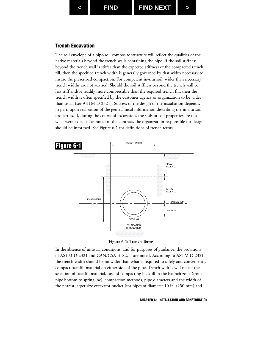**< FIND FIND NEXT >** 

## **Trench Excavation**

The soil envelope of a pipe/soil composite structure will reflect the qualities of the native materials beyond the trench walls containing the pipe. If the soil stiffness beyond the trench wall is stiffer than the expected stiffness of the compacted trench fill, then the specified trench width is generally governed by that width necessary to insure the prescribed compaction. For competent in-situ soil, wider than necessary trench widths are not advised. Should the soil stiffness beyond the trench wall be less stiff and/or readily more compressible than the required trench fill, then the trench width is often specified by the customer agency or organization to be wider than usual (see ASTM D 2321). Success of the design of the installation depends, in part, upon realization of the geotechnical information describing the in-situ soil properties. If, during the course of excavation, the soils or soil properties are not what were expected as noted in the contract, the organization responsible for design should be informed. See Figure 6-1 for definitions of trench terms.



**Figure 6-1: Trench Terms**

In the absence of unusual conditions, and for purposes of guidance, the provisions of ASTM D 2321 and CAN/CSA B182.11 are noted. According to ASTM D 2321, the trench width should be no wider than what is required to safely and conveniently compact backfill material on either side of the pipe. Trench widths will reflect the selection of backfill material, ease of compacting backfill in the haunch zone (from pipe bottom to springline), compaction methods, pipe diameters and the width of the nearest larger size excavator bucket (for pipes of diameter 10 in. (250 mm) and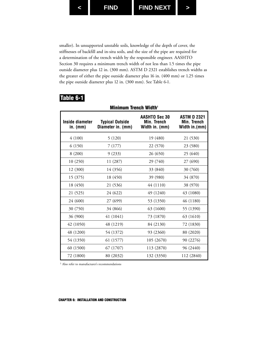smaller). In unsupported unstable soils, knowledge of the depth of cover, the stiffnesses of backfill and in-situ soils, and the size of the pipe are required for a determination of the trench width by the responsible engineer. AASHTO Section 30 requires a minimum trench width of not less than 1.5 times the pipe outside diameter plus 12 in. (300 mm). ASTM D 2321 establishes trench widths as the greater of either the pipe outside diameter plus 16 in. (400 mm) or 1.25 times the pipe outside diameter plus 12 in. (300 mm). See Table 6-1.

## **Table 6-1**

| Minimum Trench Width <sup>1</sup> |                                             |                                                       |                                             |  |  |  |  |
|-----------------------------------|---------------------------------------------|-------------------------------------------------------|---------------------------------------------|--|--|--|--|
| Inside diameter<br>$in.$ (mm)     | <b>Typical Outside</b><br>Diameter in. (mm) | <b>AASHTO Sec 30</b><br>Min. Trench<br>Width in. (mm) | ASTM D 2321<br>Min. Trench<br>Width in.(mm) |  |  |  |  |
| 4(100)                            | 5(120)                                      | 19 (480)                                              | 21 (530)                                    |  |  |  |  |
| 6(150)                            | 7(177)                                      | 22 (570)                                              | 23 (580)                                    |  |  |  |  |
| 8(200)                            | 9(233)                                      | 26 (650)                                              | 25 (640)                                    |  |  |  |  |
| 10(250)                           | 11 (287)                                    | 29 (740)                                              | 27 (690)                                    |  |  |  |  |
| 12 (300)                          | 14 (356)                                    | 33 (840)                                              | 30 (760)                                    |  |  |  |  |
| 15 (375)                          | 18 (450)                                    | 39 (980)                                              | 34 (870)                                    |  |  |  |  |
| 18 (450)                          | 21 (536)                                    | 44 (1110)                                             | 38 (970)                                    |  |  |  |  |
| 21 (525)                          | 24 (622)                                    | 49 (1240)                                             | 43 (1080)                                   |  |  |  |  |
| 24 (600)                          | 27 (699)                                    | 53 (1350)                                             | 46 (1180)                                   |  |  |  |  |
| 30 (750)                          | 34 (866)                                    | 63 (1600)                                             | 55 (1390)                                   |  |  |  |  |
| 36 (900)                          | 41 (1041)                                   | 73 (1870)                                             | 63 (1610)                                   |  |  |  |  |
| 42 (1050)                         | 48 (1219)                                   | 84 (2130)                                             | 72 (1830)                                   |  |  |  |  |
| 48 (1200)                         | 54 (1372)                                   | 93 (2360)                                             | 80 (2020)                                   |  |  |  |  |
| 54 (1350)                         | 61 (1577)                                   | 105 (2670)                                            | 90 (2276)                                   |  |  |  |  |
| 60 (1500)                         | 67 (1707)                                   | 113 (2870)                                            | 96 (2440)                                   |  |  |  |  |
| 72 (1800)                         | 80 (2032)                                   | 132 (3350)                                            | 112 (2840)                                  |  |  |  |  |

<sup>1</sup> Also refer to manufacturer's recommendations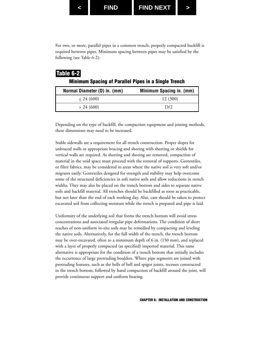For two, or more, parallel pipes in a common trench, properly compacted backfill is required between pipes. Minimum spacing between pipes may be satisfied by the following (see Table 6-2):

## **Table 6-2**

## **Minimum Spacing of Parallel Pipes in a Single Trench**

| Normal Diameter (D) in. (mm) | Minimum Spacing in. (mm) |
|------------------------------|--------------------------|
| $\leq$ 24 (600)              | 12(300)                  |
| > 24(600)                    | D/2                      |

Depending on the type of backfill, the compaction equipment and joining methods, these dimensions may need to be increased.

Stable sidewalls are a requirement for all trench construction. Proper slopes for unbraced walls or appropriate bracing and shoring with sheeting or shields for vertical walls are required. As sheeting and shoring are removed, compaction of material in the void space must proceed with the removal of supports. Geotextiles, or filter fabrics, may be considered in areas where the native soil is very soft and/or migrates easily. Geotextiles designed for strength and stability may help overcome some of the structural deficiencies in soft native soils and allow reductions in trench widths. They may also be placed on the trench bottom and sides to separate native soils and backfill material. All trenches should be backfilled as soon as practicable, but not later than the end of each working day. Also, care should be taken to protect excavated soil from collecting moisture while the trench is prepared and pipe is laid.

Uniformity of the underlying soil that forms the trench bottom will avoid stress concentrations and associated irregular pipe deformations. The condition of short reaches of non-uniform in-situ soils may be remedied by compacting and leveling the native soils. Alternatively, for the full width of the trench, the trench bottom may be over-excavated, often to a minimum depth of 6 in. (150 mm), and replaced with a layer of properly compacted (as specified) imported material. This same alternative is appropriate for the condition of a trench bottom that initially includes the occurrence of large protruding boulders. Where pipe segments are joined with protruding features, such as the bells of bell and spigot joints, recesses constructed in the trench bottom, followed by hand compaction of backfill around the joint, will provide continuous support and uniform bearing.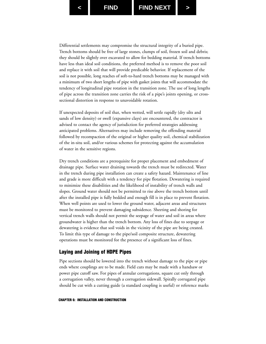Differential settlements may compromise the structural integrity of a buried pipe. Trench bottoms should be free of large stones, clumps of soil, frozen soil and debris; they should be slightly over excavated to allow for bedding material. If trench bottoms have less than ideal soil conditions, the preferred method is to remove the poor soil and replace it with soil that will provide predicable behavior. If replacement of the soil is not possible, long reaches of soft-to-hard trench bottoms may be managed with a minimum of two short lengths of pipe with gasket joints that will accommodate the tendency of longitudinal pipe rotation in the transition zone. The use of long lengths of pipe across the transition zone carries the risk of a pipe's joints opening, or crosssectional distortion in response to unavoidable rotation.

If unexpected deposits of soil that, when wetted, will settle rapidly (dry silts and sands of low density) or swell (expansive clays) are encountered, the contractor is advised to contact the agency of jurisdiction for preferred strategies addressing anticipated problems. Alternatives may include removing the offending material followed by recompaction of the original or higher quality soil, chemical stabilization of the in-situ soil, and/or various schemes for protecting against the accumulation of water in the sensitive regions.

Dry trench conditions are a prerequisite for proper placement and embedment of drainage pipe. Surface water draining towards the trench must be redirected. Water in the trench during pipe installation can create a safety hazard. Maintenance of line and grade is more difficult with a tendency for pipe flotation. Dewatering is required to minimize these disabilities and the likelihood of instability of trench walls and slopes. Ground water should not be permitted to rise above the trench bottom until after the installed pipe is fully bedded and enough fill is in place to prevent flotation. When well points are used to lower the ground water, adjacent areas and structures must be monitored to prevent damaging subsidence. Sheeting and shoring for vertical trench walls should not permit the seepage of water and soil in areas where groundwater is higher than the trench bottom. Any loss of fines due to seepage or dewatering is evidence that soil voids in the vicinity of the pipe are being created. To limit this type of damage to the pipe/soil composite structure, dewatering operations must be monitored for the presence of a significant loss of fines.

## **Laying and Joining of HDPE Pipes**

Pipe sections should be lowered into the trench without damage to the pipe or pipe ends where couplings are to be made. Field cuts may be made with a handsaw or power pipe cutoff saw. For pipes of annular corrugations, square cut only through a corrugation valley, never through a corrugation sidewall. Spirally corrugated pipe should be cut with a cutting guide (a standard coupling is useful) or reference marks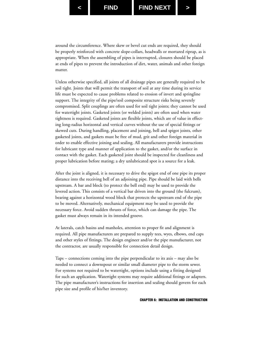around the circumference. Where skew or bevel cut ends are required, they should be properly reinforced with concrete slope-collars, headwalls or mortared riprap, as is appropriate. When the assembling of pipes is interrupted, closures should be placed at ends of pipes to prevent the introduction of dirt, water, animals and other foreign matter.

Unless otherwise specified, all joints of all drainage pipes are generally required to be soil tight. Joints that will permit the transport of soil at any time during its service life must be expected to cause problems related to erosion of invert and springline support. The integrity of the pipe/soil composite structure risks being severely compromised. Split couplings are often used for soil tight joints; they cannot be used for watertight joints. Gasketed joints (or welded joints) are often used when water tightness is required. Gasketed joints are flexible joints, which are of value in effecting long-radius horizontal and vertical curves without the use of special fittings or skewed cuts. During handling, placement and joining, bell and spigot joints, other gasketed joints, and gaskets must be free of mud, grit and other foreign material in order to enable effective joining and sealing. All manufacturers provide instructions for lubricant type and manner of application to the gasket, and/or the surface in contact with the gasket. Each gasketed joint should be inspected for cleanliness and proper lubrication before mating; a dry unlubricated spot is a source for a leak.

After the joint is aligned, it is necessary to drive the spigot end of one pipe its proper distance into the receiving bell of an adjoining pipe. Pipe should be laid with bells upstream. A bar and block (to protect the bell end) may be used to provide the levered action. This consists of a vertical bar driven into the ground (the fulcrum), bearing against a horizontal wood block that protects the upstream end of the pipe to be moved. Alternatively, mechanical equipment may be used to provide the necessary force. Avoid sudden thrusts of force, which can damage the pipe. The gasket must always remain in its intended groove.

At laterals, catch basins and manholes, attention to proper fit and alignment is required. All pipe manufacturers are prepared to supply tees, wyes, elbows, end caps and other styles of fittings. The design engineer and/or the pipe manufacturer, not the contractor, are usually responsible for connection detail design.

Taps – connections coming into the pipe perpendicular to its axis – may also be needed to connect a downspout or similar small diameter pipe to the storm sewer. For systems not required to be watertight, options include using a fitting designed for such an application. Watertight systems may require additional fittings or adapters. The pipe manufacturer's instructions for insertion and sealing should govern for each pipe size and profile of his/her inventory.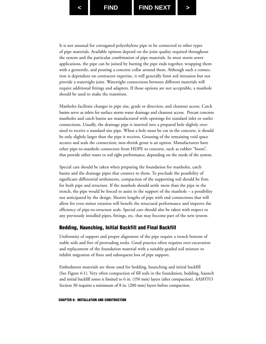It is not unusual for corrugated polyethylene pipe to be connected to other types of pipe materials. Available options depend on the joint quality required throughout the system and the particular combination of pipe materials. In most storm sewer applications, the pipe can be joined by butting the pipe ends together, wrapping them with a geotextile, and pouring a concrete collar around them. Although such a connection is dependent on contractor expertise, it will generally limit soil intrusion but not

provide a watertight joint. Watertight connections between different materials will require additional fittings and adapters. If those options are not acceptable, a manhole should be used to make the transition.

Manholes facilitate changes in pipe size, grade or direction, and cleanout access. Catch basins serve as inlets for surface storm water drainage and cleanout access. Precast concrete manholes and catch basins are manufactured with openings for standard inlet or outlet connections. Usually, the drainage pipe is inserted into a prepared hole slightly oversized to receive a standard size pipe. When a hole must be cut in the concrete, it should be only slightly larger than the pipe it receives. Grouting of the remaining void space secures and seals the connection; non-shrink grout is an option. Manufacturers have other pipe-to-manhole connectors from HDPE to concrete, such as rubber "boots", that provide either water or soil tight performance, depending on the needs of the system.

Special care should be taken when preparing the foundation for manholes, catch basins and the drainage pipes that connect to them. To preclude the possibility of significant differential settlements, compaction of the supporting soil should be firm for both pipe and structure. If the manhole should settle more than the pipe in the trench, the pipe would be forced to assist in the support of the manhole – a possibility not anticipated by the design. Shorter lengths of pipe with end connections that will allow for even minor rotation will benefit the structural performance and improve the efficiency of pipe-to-structure seals. Special care should also be taken with respect to any previously installed pipes, fittings, etc. that may become part of the new system.

## **Bedding, Haunching, Initial Backfill and Final Backfill**

Uniformity of support and proper alignment of the pipe require a trench bottom of stable soils and free of protruding rocks. Good practice often requires over-excavation and replacement of the foundation material with a suitably-graded soil mixture to inhibit migration of fines and subsequent loss of pipe support.

Embedment materials are those used for bedding, haunching and initial backfill (See Figure 6-1). Very often compaction of fill soils in the foundation, bedding, haunch and initial backfill zones is limited to 6 in. (150 mm) layers (after compaction). AASHTO Section 30 requires a minimum of 8 in. (200 mm) layers before compaction.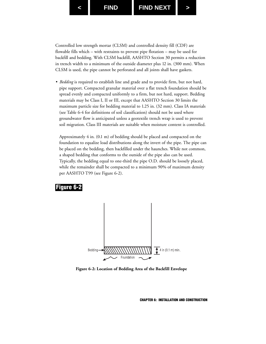Controlled low strength mortar (CLSM) and controlled density fill (CDF) are flowable fills which – with restraints to prevent pipe flotation – may be used for backfill and bedding. With CLSM backfill, AASHTO Section 30 permits a reduction in trench width to a minimum of the outside diameter plus 12 in. (300 mm). When CLSM is used, the pipe cannot be perforated and all joints shall have gaskets.

*• Bedding* is required to establish line and grade and to provide firm, but not hard, pipe support. Compacted granular material over a flat trench foundation should be spread evenly and compacted uniformly to a firm, but not hard, support. Bedding materials may be Class I, II or III, except that AASHTO Section 30 limits the maximum particle size for bedding material to 1.25 in. (32 mm). Class IA materials (see Table 6-4 for definitions of soil classification) should not be used where groundwater flow is anticipated unless a geotextile trench wrap is used to prevent soil migration. Class III materials are suitable when moisture content is controlled.

Approximately 4 in. (0.1 m) of bedding should be placed and compacted on the foundation to equalize load distributions along the invert of the pipe. The pipe can be placed on the bedding, then backfilled under the haunches. While not common, a shaped bedding that conforms to the outside of the pipe also can be used. Typically, the bedding equal to one-third the pipe O.D. should be loosely placed, while the remainder shall be compacted to a minimum 90% of maximum density per AASHTO T99 (see Figure 6-2).

## **Figure 6-2**



**Figure 6-2: Location of Bedding Area of the Backfill Envelope**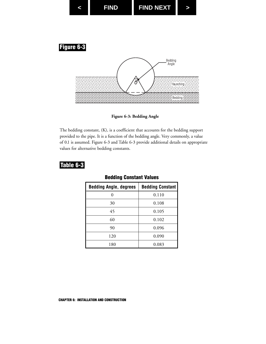



**Figure 6-3: Bedding Angle**

The bedding constant, (K), is a coefficient that accounts for the bedding support provided to the pipe. It is a function of the bedding angle. Very commonly, a value of 0.1 is assumed. Figure 6-3 and Table 6-3 provide additional details on appropriate values for alternative bedding constants.

## **Table 6-3**

| <b>Bedding Angle, degrees</b> | <b>Bedding Constant</b> |
|-------------------------------|-------------------------|
|                               | 0.110                   |
| 30                            | 0.108                   |
| 45                            | 0.105                   |
| 60                            | 0.102                   |
| 90                            | 0.096                   |
| 120                           | 0.090                   |
| 180                           | 0.083                   |

## **Bedding Constant Values**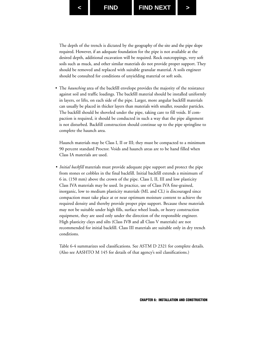The depth of the trench is dictated by the geography of the site and the pipe slope required. However, if an adequate foundation for the pipe is not available at the desired depth, additional excavation will be required. Rock outcroppings, very soft soils such as muck, and other similar materials do not provide proper support. They should be removed and replaced with suitable granular material. A soils engineer should be consulted for conditions of unyielding material or soft soils.

• The *haunching* area of the backfill envelope provides the majority of the resistance against soil and traffic loadings. The backfill material should be installed uniformly in layers, or lifts, on each side of the pipe. Larger, more angular backfill materials can usually be placed in thicker layers than materials with smaller, rounder particles. The backfill should be shoveled under the pipe, taking care to fill voids. If compaction is required, it should be conducted in such a way that the pipe alignment is not disturbed. Backfill construction should continue up to the pipe springline to complete the haunch area.

Haunch materials may be Class I, II or III; they must be compacted to a minimum 90 percent standard Proctor. Voids and haunch areas are to be hand filled when Class IA materials are used.

*• Initial backfill* materials must provide adequate pipe support and protect the pipe from stones or cobbles in the final backfill. Initial backfill extends a minimum of 6 in. (150 mm) above the crown of the pipe. Class I, II, III and low plasticity Class IVA materials may be used. In practice, use of Class IVA fine-grained, inorganic, low to medium plasticity materials (ML and CL) is discouraged since compaction must take place at or near optimum moisture content to achieve the required density and thereby provide proper pipe support. Because these materials may not be suitable under high fills, surface wheel loads, or heavy construction equipment, they are used only under the direction of the responsible engineer. High plasticity clays and silts (Class IVB and all Class V materials) are not recommended for initial backfill. Class III materials are suitable only in dry trench conditions.

Table 6-4 summarizes soil classifications. See ASTM D 2321 for complete details. (Also see AASHTO M 145 for details of that agency's soil classifications.)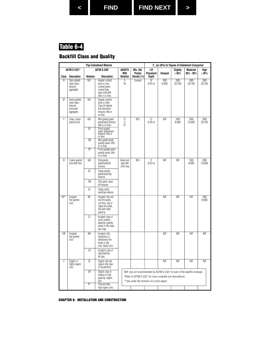**CHAPTER 6: INSTALLATION AND CONSTRUCTION**

|                |                                                                      |                | large voids with<br>little or no fines                                                                                   |                                       |                                                                                                                                                                                          |                           |            |                 |                  |                   |
|----------------|----------------------------------------------------------------------|----------------|--------------------------------------------------------------------------------------------------------------------------|---------------------------------------|------------------------------------------------------------------------------------------------------------------------------------------------------------------------------------------|---------------------------|------------|-----------------|------------------|-------------------|
| $\overline{B}$ | Dense-graded,<br>clean manu-<br>factured,<br>processed<br>aggregates | N/A            | Angular crushed<br>stone or other<br>Class IA material<br>and stone/sand<br>mixtures; little or<br>no fines              |                                       |                                                                                                                                                                                          |                           |            |                 |                  |                   |
| $\mathbb{I}$   | Clean, coarse-<br>grained soils                                      | GW             | Well-graded gravel,<br>gravel/sand mixtures;<br>little or no fines                                                       | 57<br>6<br>67                         | 85%                                                                                                                                                                                      | 12"<br>$(0.30 \text{ m})$ | N/R        | 1000<br>(6,900) | 2000<br>(13,800) | 3000<br>(20, 700) |
|                |                                                                      | GP             | Poorly graded<br>gravel, gravel/sand<br>mixtures; little or<br>no fines                                                  |                                       |                                                                                                                                                                                          |                           |            |                 |                  |                   |
|                |                                                                      | SW             | Well-graded sands,<br>gravelly sands; little<br>or no fines                                                              |                                       |                                                                                                                                                                                          |                           |            |                 |                  |                   |
|                |                                                                      | SP             | Poorly graded sands,<br>gravelly sands; little<br>or no fines                                                            |                                       |                                                                                                                                                                                          |                           |            |                 |                  |                   |
| $\parallel$    | Coarse-grained<br>soils with fines                                   | GM             | Silty gravels,<br>gravel/sand/silt<br>mixtures                                                                           | Gravel and<br>sand with<br><10% fines | 90%                                                                                                                                                                                      | 9"<br>$(0.20 \text{ m})$  | N/R        | N/R             | 1000<br>(6,900)  | 2000<br>(13,800)  |
|                |                                                                      | GC             | Clayey gravels,<br>gravel/sand/clay<br>mixtures                                                                          |                                       |                                                                                                                                                                                          |                           |            |                 |                  |                   |
|                |                                                                      | <b>SM</b>      | Silty sands, sand/<br>silt mixtures                                                                                      |                                       |                                                                                                                                                                                          |                           |            |                 |                  |                   |
|                |                                                                      | SC             | Clayey sands,<br>sand/clay mixtures                                                                                      |                                       |                                                                                                                                                                                          |                           |            |                 |                  |                   |
| IVA**          | Inorganic<br>fine-grained<br>soils                                   | ML             | Inorganic silts and<br>very fine sands,<br>rock flour, silty or<br>clayey fine sands,<br>silts with slight<br>plasticity |                                       |                                                                                                                                                                                          |                           | N/R        | N/R             | N/R              | 1000<br>(6,900)   |
|                |                                                                      | CL             | Inorganic clays of<br>low to medium<br>plasticity; gravelly,<br>sandy or silty clays;<br>lean clays                      |                                       |                                                                                                                                                                                          |                           |            |                 |                  |                   |
| <b>IVB</b>     | Inorganic<br>fine-grained<br>soils                                   | <b>MH</b>      | Inorganic silts,<br>macaceous or<br>diamaceous fine<br>sandy or silty<br>soils, elastic soils                            |                                       |                                                                                                                                                                                          |                           | <b>N/R</b> | N/R             | <b>N/R</b>       | <b>N/R</b>        |
|                |                                                                      | CH             | Inorganic clays of<br>high plasticity,<br>fat clays                                                                      |                                       |                                                                                                                                                                                          |                           |            |                 |                  |                   |
| $\overline{V}$ | Organic or<br>highly organic<br>soils                                | $\overline{0}$ | Organic silts and<br>organic silty clays<br>of low plasticity                                                            |                                       |                                                                                                                                                                                          |                           | <b>N/R</b> | N/R             | N/R              | <b>N/R</b>        |
|                |                                                                      | O <sub>H</sub> | Organic clays of<br>medium to high<br>plasticity, organic<br>silts                                                       |                                       | N/R: Use not recommended by ASTM D 2321 for part of the backfill envelope.<br>*Refer to ASTM D 2321 for more complete soil descriptions.<br>**Use under the direction of a soils expert. |                           |            |                 |                  |                   |
|                |                                                                      | PT             | Peat and other<br>high organic soils                                                                                     |                                       |                                                                                                                                                                                          |                           |            |                 |                  |                   |

## **Backfill Class and Quality**

**Class Description Notation Description Notation Density (%)**<br> **A Open-graded, N/A Angular crushed 5 Dumped** 

factured crushed gravel, aggregates crushed slag;

**Table 6-4**

 **< FIND FIND NEXT >** 

Pipe Embedment Material **E**<sup>'</sup>, psi (kPa) for Degree of Embedment Compaction

**M43 Proctor Placement Dumped < 85% 85% - 95% > 95%**

**ASTM D 2321\* ASTM D 2487 AASHTO Min. Std. Lift Dumped**  $\begin{array}{|l} \hline \text{819m1b1b243} \\ \hline \text{195m1c1b1} \\ \hline \text{197m1d1} \\ \hline \end{array}$  **ASTM D 2487 ASHTO M43 Proctor Placement Dumped**  $\begin{array}{|l} \hline \text{819m1b1} \\ \hline \text$ 

IA | Open-graded, | N/A | Angular crushed | 5 | Dumped | 18" | 1000 | 3000 | 3000 | 3000 clean manu- | | stone or rock, | 56 | | | (0.45 m) | (6,900) | (20,700) | (20,700) | (20,700)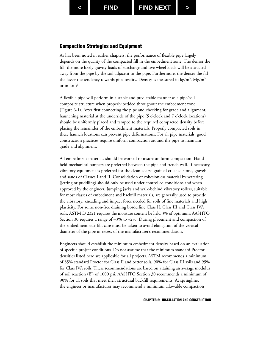## **Compaction Strategies and Equipment**

As has been noted in earlier chapters, the performance of flexible pipe largely depends on the quality of the compacted fill in the embedment zone. The denser the fill, the more likely gravity loads of surcharge and live wheel loads will be attracted away from the pipe by the soil adjacent to the pipe. Furthermore, the denser the fill the lesser the tendency towards pipe ovality. Density is measured in  $\text{kg/m}^3$ , Mg/m<sup>3</sup> or in  $lb/ft^3$ .

A flexible pipe will perform in a stable and predictable manner as a pipe/soil composite structure when properly bedded throughout the embedment zone (Figure 6-1). After first connecting the pipe and checking for grade and alignment, haunching material at the underside of the pipe (5 o'clock and 7 o'clock locations) should be uniformly placed and tamped to the required compacted density before placing the remainder of the embedment materials. Properly compacted soils in these haunch locations can prevent pipe deformations. For all pipe materials, good construction practices require uniform compaction around the pipe to maintain grade and alignment.

All embedment materials should be worked to insure uniform compaction. Handheld mechanical tampers are preferred between the pipe and trench wall. If necessary, vibratory equipment is preferred for the clean coarse-grained crushed stone, gravels and sands of Classes I and II. Consolidation of cohesionless material by watering (jetting or puddling) should only be used under controlled conditions and when approved by the engineer. Jumping jacks and walk-behind vibratory rollers, suitable for most classes of embedment and backfill materials, are generally used to provide the vibratory, kneading and impact force needed for soils of fine materials and high plasticity. For some non-free draining borderline Class II, Class III and Class IVA soils, ASTM D 2321 requires the moisture content be held 3% of optimum; AASHTO Section 30 requires a range of –3% to +2%. During placement and compaction of the embedment side fill, care must be taken to avoid elongation of the vertical diameter of the pipe in excess of the manufacturer's recommendation.

Engineers should establish the minimum embedment density based on an evaluation of specific project conditions. Do not assume that the minimum standard Proctor densities listed here are applicable for all projects. ASTM recommends a minimum of 85% standard Proctor for Class II and better soils, 90% for Class III soils and 95% for Class IVA soils. These recommendations are based on attaining an average modulus of soil reaction (E') of 1000 psi. AASHTO Section 30 recommends a minimum of 90% for all soils that meet their structural backfill requirements. At springline, the engineer or manufacturer may recommend a minimum allowable compaction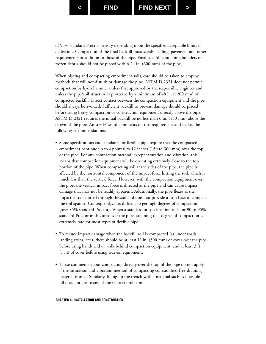of 95% standard Proctor density depending upon the specified acceptable limits of deflection. Compaction of the final backfill must satisfy loading, pavement and other requirements in addition to those of the pipe. Final backfill containing boulders or frozen debris should not be placed within 24 in. (600 mm) of the pipe.

When placing and compacting embedment soils, care should be taken to employ methods that will not disturb or damage the pipe. ASTM D 2321 does not permit compaction by hydrohammer unless first approved by the responsible engineer and unless the pipe/soil structure is protected by a minimum of 48 in. (1200 mm) of compacted backfill. Direct contact between the compaction equipment and the pipe should always be avoided. Sufficient backfill to prevent damage should be placed before using heavy compaction or construction equipment directly above the pipe. ASTM D 2321 requires the initial backfill be no less than 6 in. (150 mm) above the crown of the pipe. Amster Howard comments on this requirement and makes the following recommendations:

- Some specifications and standards for flexible pipe require that the compacted embedment continue up to a point 6 to 12 inches (150 to 300 mm) over the top of the pipe. For any compaction method, except saturation and vibration, this means that compaction equipment will be operating extremely close to the top portion of the pipe. When compacting soil at the sides of the pipe, the pipe is affected by the horizontal component of the impact force hitting the soil, which is much less than the vertical force. However, with the compaction equipment over the pipe, the vertical impact force is directed at the pipe and can cause impact damage that may not be readily apparent. Additionally, the pipe flexes as the impact is transmitted through the soil and does not provide a firm base to compact the soil against. Consequently, it is difficult to get high degrees of compaction (over 85% standard Proctor). When a standard or specification calls for 90 to 95% standard Proctor in this area over the pipe, attaining that degree of compaction is extremely rare for most types of flexible pipe.
- To reduce impact damage when the backfill soil is compacted (as under roads, landing strips, etc.), there should be at least 12 in. (300 mm) of cover over the pipe before using hand-held or walk behind compaction equipment, and at least 3 ft. (1 m) of cover before using ride-on equipment.
- These comments about compacting directly over the top of the pipe do not apply if the saturation and vibration method of compacting cohesionless, free-draining material is used. Similarly, filling up the trench with a material such as flowable fill does not create any of the (above) problems.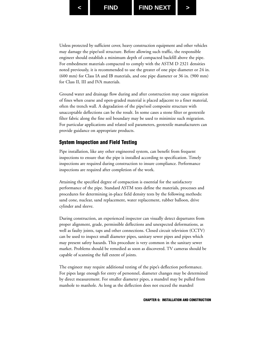Unless protected by sufficient cover, heavy construction equipment and other vehicles may damage the pipe/soil structure. Before allowing such traffic, the responsible engineer should establish a minimum depth of compacted backfill above the pipe. For embedment materials compacted to comply with the ASTM D 2321 densities noted previously, it is recommended to use the greater of one pipe diameter or 24 in. (600 mm) for Class IA and IB materials, and one pipe diameter or 36 in. (900 mm) for Class II, III and IVA materials.

Ground water and drainage flow during and after construction may cause migration of fines when coarse and open-graded material is placed adjacent to a finer material, often the trench wall. A degradation of the pipe/soil composite structure with unacceptable deflections can be the result. In some cases a stone filter or geotextile filter fabric along the fine soil boundary may be used to minimize such migration. For particular applications and related soil parameters, geotextile manufacturers can provide guidance on appropriate products.

## **System Inspection and Field Testing**

Pipe installation, like any other engineered system, can benefit from frequent inspections to ensure that the pipe is installed according to specification. Timely inspections are required during construction to insure compliance. Performance inspections are required after completion of the work.

Attaining the specified degree of compaction is essential for the satisfactory performance of the pipe. Standard ASTM tests define the materials, processes and procedures for determining in-place field density tests by the following methods: sand cone, nuclear, sand replacement, water replacement, rubber balloon, drive cylinder and sleeve.

During construction, an experienced inspector can visually detect departures from proper alignment, grade, permissible deflections and unexpected deformations, as well as faulty joints, taps and other connections. Closed circuit television (CCTV) can be used to inspect small diameter pipes, sanitary sewer pipes and pipes which may present safety hazards. This procedure is very common in the sanitary sewer market. Problems should be remedied as soon as discovered. TV cameras should be capable of scanning the full extent of joints.

The engineer may require additional testing of the pipe's deflection performance. For pipes large enough for entry of personnel, diameter changes may be determined by direct measurement. For smaller diameter pipes, a mandrel may be pulled from manhole to manhole. As long as the deflection does not exceed the mandrel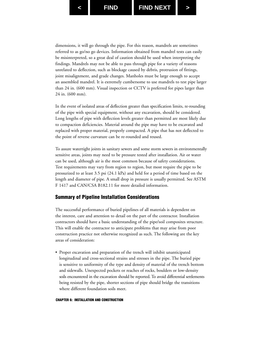dimensions, it will go through the pipe. For this reason, mandrels are sometimes referred to as go/no go devices. Information obtained from mandrel tests can easily be misinterpreted, so a great deal of caution should be used when interpreting the findings. Mandrels may not be able to pass through pipe for a variety of reasons unrelated to deflection, such as blockage caused by debris, protrusion of fittings, joint misalignment, and grade changes. Manholes must be large enough to accept an assembled mandrel. It is extremely cumbersome to use mandrels to test pipe larger than 24 in. (600 mm). Visual inspection or CCTV is preferred for pipes larger than 24 in. (600 mm).

In the event of isolated areas of deflection greater than specification limits, re-rounding of the pipe with special equipment, without any excavation, should be considered. Long lengths of pipe with deflection levels greater than permitted are most likely due to compaction deficiencies. Material around the pipe may have to be excavated and replaced with proper material, properly compacted. A pipe that has not deflected to the point of reverse curvature can be re-rounded and reused.

To assure watertight joints in sanitary sewers and some storm sewers in environmentally sensitive areas, joints may need to be pressure tested after installation. Air or water can be used, although air is the most common because of safety considerations. Test requirements may vary from region to region, but most require the pipe to be pressurized to at least 3.5 psi (24.1 kPa) and held for a period of time based on the length and diameter of pipe. A small drop in pressure is usually permitted. See ASTM F 1417 and CAN/CSA B182.11 for more detailed information.

## **Summary of Pipeline Installation Considerations**

The successful performance of buried pipelines of all materials is dependent on the interest, care and attention to detail on the part of the contractor. Installation contractors should have a basic understanding of the pipe/soil composites structure. This will enable the contractor to anticipate problems that may arise from poor construction practice not otherwise recognized as such. The following are the key areas of consideration:

• Proper excavation and preparation of the trench will inhibit unanticipated longitudinal and cross-sectional strains and stresses in the pipe. The buried pipe is sensitive to uniformity of the type and density of material of the trench bottom and sidewalls. Unexpected pockets or reaches of rocks, boulders or low-density soils encountered in the excavation should be reported. To avoid differential settlements being resisted by the pipe, shorter sections of pipe should bridge the transitions where different foundation soils meet.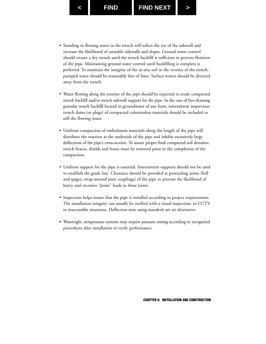- Standing or flowing water in the trench will soften the toe of the sidewall and increase the likelihood of unstable sidewalls and slopes. Ground water control should ensure a dry trench until the trench backfill is sufficient to prevent flotation of the pipe. Maintaining ground water control until backfilling is complete is preferred. To maintain the integrity of the in-situ soil in the vicinity of the trench, pumped water should be reasonably free of fines. Surface waters should be diverted away from the trench.
- Water flowing along the exterior of the pipe should be expected to erode compacted trench backfill and/or trench sidewall support for the pipe. In the case of free-draining granular trench backfill located in groundwater of any form, intermittent impervious trench dams (or plugs) of compacted cohesionless materials should be included to still the flowing water.
- Uniform compaction of embedment materials along the length of the pipe will distribute the reaction at the underside of the pipe and inhibit excessively large deflections of the pipe's cross-section. To assure proper final compacted soil densities, trench braces, shields and boxes must be removed prior to the completion of the compaction.
- Uniform support for the pipe is essential. Intermittent supports should not be used to establish the grade line. Clearance should be provided at protruding joints (bell and spigot, wrap-around joint couplings) of the pipe to prevent the likelihood of heavy and excessive "point" loads to these joints.
- Inspection helps insure that the pipe is installed according to project requirements. The installation integrity can usually be verified with a visual inspection, or CCTV in inaccessible situations. Deflection tests using mandrels are an alternative.
- Watertight, nonpressure systems may require pressure testing according to recognized procedures after installation to verify performance.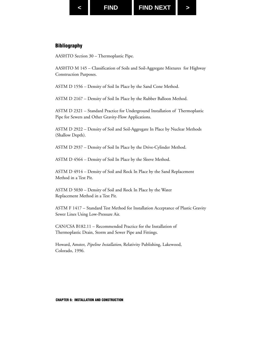AASHTO Section 30 – Thermoplastic Pipe.

AASHTO M 145 – Classification of Soils and Soil-Aggregate Mixtures for Highway Construction Purposes.

ASTM D 1556 – Density of Soil In Place by the Sand Cone Method.

ASTM D 2167 – Density of Soil In Place by the Rubber Balloon Method.

ASTM D 2321 – Standard Practice for Underground Installation of Thermoplastic Pipe for Sewers and Other Gravity-Flow Applications.

ASTM D 2922 – Density of Soil and Soil-Aggregate In Place by Nuclear Methods (Shallow Depth).

ASTM D 2937 – Density of Soil In Place by the Drive-Cylinder Method.

ASTM D 4564 – Density of Soil In Place by the Sleeve Method.

ASTM D 4914 – Density of Soil and Rock In Place by the Sand Replacement Method in a Test Pit.

ASTM D 5030 – Density of Soil and Rock In Place by the Water Replacement Method in a Test Pit.

ASTM F 1417 – Standard Test Method for Installation Acceptance of Plastic Gravity Sewer Lines Using Low-Pressure Air.

CAN/CSA B182.11 – Recommended Practice for the Installation of Thermoplastic Drain, Storm and Sewer Pipe and Fittings.

Howard, Amster, *Pipeline Installation,* Relativity Publishing, Lakewood, Colorado, 1996.